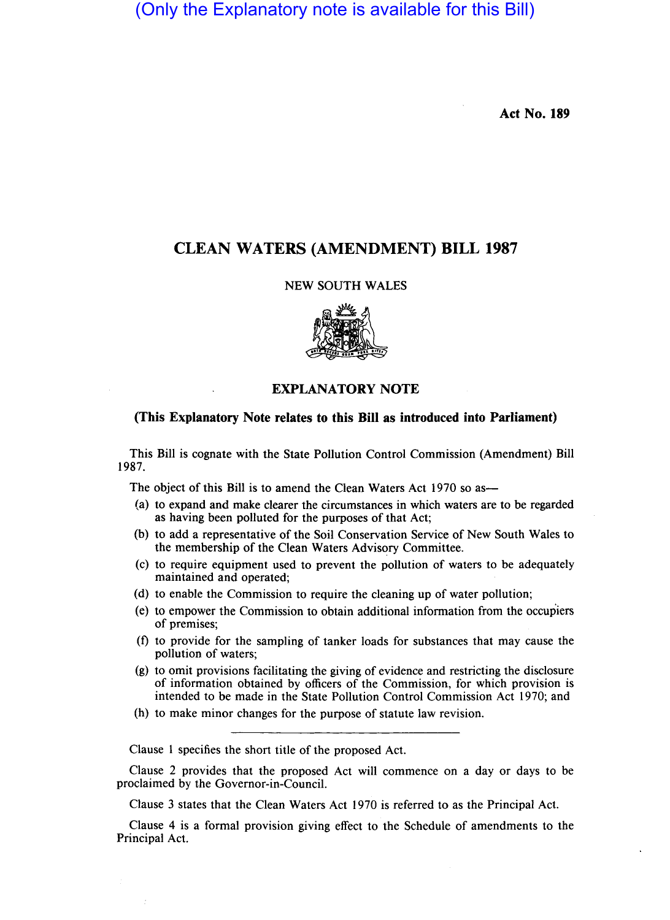(Only the Explanatory note is available for this Bill)

**Act No. 189** 

## **CLEAN WATERS (AMENDMENT) BILL 1987**

## NEW SOUTH WALES



## **EXPLANATORY NOTE**

## **(This Explanatory Note relates to this Bill as introduced into Parliament)**

This Bill is cognate with the State Pollution Control Commission (Amendment) Bill 1987.

The object of this Bill is to amend the Clean Waters Act 1970 so as—

- (a) to expand and make clearer the circumstances in which waters are to be regarded as having been polluted for the purposes of that Act;
- (b) to add a representative of the Soil Conservation Service of New South Wales to the membership of the Clean Waters Advisory Committee.
- (c) to require equipment used to prevent the pollution of waters to be adequately maintained and operated;
- (d) to enable the Commission to require the cleaning up of water pollution;
- (e) to empower the Commission to obtain additional information from the occupiers of premises;
- (f) to provide for the sampling of tanker loads for substances that may cause the pollution of waters;
- (g) to omit provisions facilitating the giving of evidence and restricting the disclosure of information obtained by officers of the Commission, for which provision is intended to be made in the State Pollution Control Commission Act 1970; and
- (h) to make minor changes for the purpose of statute law revision.

Clause 1 specifies the short title of the proposed Act.

Clause 2 provides that the proposed Act will commence on a day or days to be proclaimed by the Governor-in-Council.

Clause 3 states that the Clean Waters Act 1970 is referred to as the Principal Act.

Clause 4 is a formal provision giving effect to the Schedule of amendments to the Principal Act.